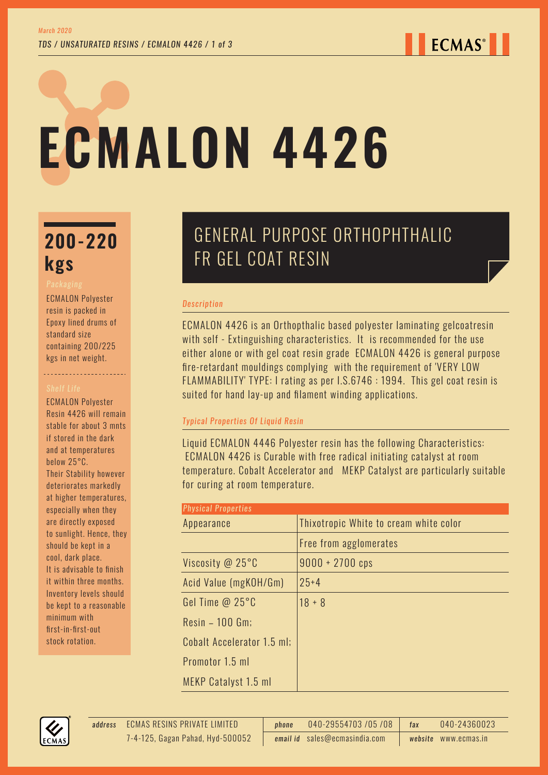# **ECMALON 4426**

# **200-220 kgs**

ECMALON Polyester resin is packed in Epoxy lined drums of standard size containing 200/225 kgs in net weight.

ECMALON Polyester Resin 4426 will remain stable for about 3 mnts if stored in the dark and at temperatures below 25°C. Their Stability however deteriorates markedly at higher temperatures, especially when they are directly exposed to sunlight. Hence, they should be kept in a cool, dark place. It is advisable to finish it within three months. Inventory levels should be kept to a reasonable minimum with first-in-first-out stock rotation.

## GENERAL PURPOSE ORTHOPHTHALIC FR GEL COAT RESIN

### *Description*

ECMALON 4426 is an Orthopthalic based polyester laminating gelcoatresin with self - Extinguishing characteristics. It is recommended for the use either alone or with gel coat resin grade ECMALON 4426 is general purpose fire-retardant mouldings complying with the requirement of 'VERY LOW FLAMMABILITY' TYPE: I rating as per I.S.6746 : 1994. This gel coat resin is suited for hand lay-up and filament winding applications.

## *Typical Properties Of Liquid Resin*

Liquid ECMALON 4446 Polyester resin has the following Characteristics: ECMALON 4426 is Curable with free radical initiating catalyst at room temperature. Cobalt Accelerator and MEKP Catalyst are particularly suitable for curing at room temperature.

| <b>Physical Properties</b> |                                        |  |  |
|----------------------------|----------------------------------------|--|--|
| Appearance                 | Thixotropic White to cream white color |  |  |
|                            | Free from agglomerates                 |  |  |
| Viscosity @ 25°C           | $9000 + 2700$ cps                      |  |  |
| Acid Value (mgKOH/Gm)      | $25 + 4$                               |  |  |
| Gel Time $@25°C$           | $18 + 8$                               |  |  |
| $Resin - 100$ Gm;          |                                        |  |  |
| Cobalt Accelerator 1.5 ml; |                                        |  |  |
| Promotor 1.5 ml            |                                        |  |  |
| MEKP Catalyst 1.5 ml       |                                        |  |  |

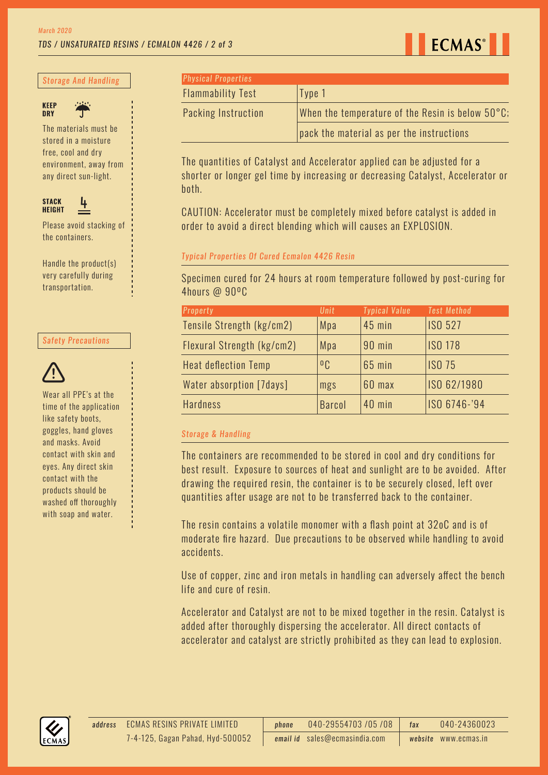

#### *Storage And Handling*





The materials must be stored in a moisture free, cool and dry environment, away from any direct sun-light.



Please avoid stacking of the containers.

Handle the product(s) very carefully during transportation.

#### *Safety Precautions*



Wear all PPE's at the time of the application like safety boots, goggles, hand gloves and masks. Avoid contact with skin and eyes. Any direct skin contact with the products should be washed off thoroughly with soap and water.

| <b>Physical Properties</b> |                                                  |
|----------------------------|--------------------------------------------------|
| <b>Flammability Test</b>   | Type 1                                           |
| <b>Packing Instruction</b> | When the temperature of the Resin is below 50°C; |
|                            | pack the material as per the instructions        |

The quantities of Catalyst and Accelerator applied can be adjusted for a shorter or longer gel time by increasing or decreasing Catalyst, Accelerator or both.

CAUTION: Accelerator must be completely mixed before catalyst is added in order to avoid a direct blending which will causes an EXPLOSION.

#### *Typical Properties Of Cured Ecmalon 4426 Resin*

Specimen cured for 24 hours at room temperature followed by post-curing for 4hours @ 90ºC

| Property                    | <b>Unit</b>    | <b>Typical Value</b> | <b>Test Method</b> |
|-----------------------------|----------------|----------------------|--------------------|
| Tensile Strength (kg/cm2)   | Mpa            | $45$ min             | <b>ISO 527</b>     |
| Flexural Strength (kg/cm2)  | Mpa            | 90 min               | <b>ISO 178</b>     |
| <b>Heat deflection Temp</b> | 0 <sub>C</sub> | 65 min               | <b>ISO 75</b>      |
| Water absorption [7days]    | mgs            | 60 max               | ISO 62/1980        |
| <b>Hardness</b>             | <b>Barcol</b>  | 40 min               | ISO 6746-'94       |

#### *Storage & Handling*

The containers are recommended to be stored in cool and dry conditions for best result. Exposure to sources of heat and sunlight are to be avoided. After drawing the required resin, the container is to be securely closed, left over quantities after usage are not to be transferred back to the container.

The resin contains a volatile monomer with a flash point at 32oC and is of moderate fire hazard. Due precautions to be observed while handling to avoid accidents.

Use of copper, zinc and iron metals in handling can adversely affect the bench life and cure of resin.

Accelerator and Catalyst are not to be mixed together in the resin. Catalyst is added after thoroughly dispersing the accelerator. All direct contacts of accelerator and catalyst are strictly prohibited as they can lead to explosion.